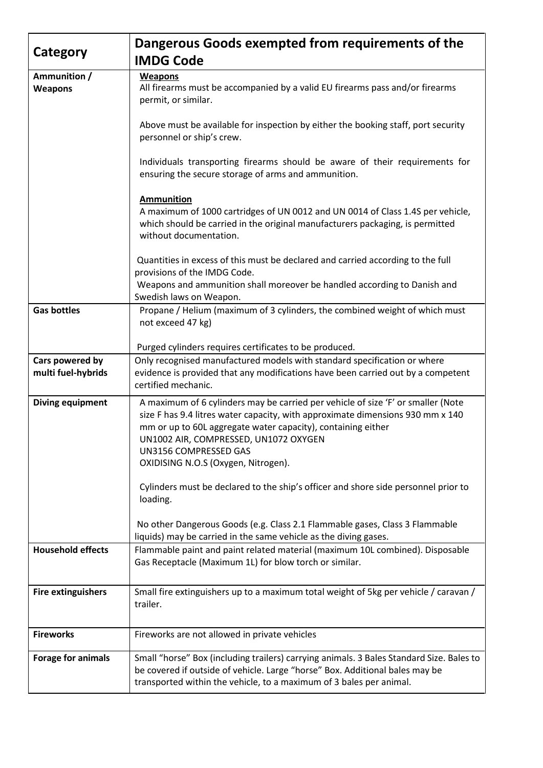|                                       | Dangerous Goods exempted from requirements of the                                                                                                                                                                                                                                                                                           |
|---------------------------------------|---------------------------------------------------------------------------------------------------------------------------------------------------------------------------------------------------------------------------------------------------------------------------------------------------------------------------------------------|
| Category                              | <b>IMDG Code</b>                                                                                                                                                                                                                                                                                                                            |
| Ammunition /<br><b>Weapons</b>        | <b>Weapons</b><br>All firearms must be accompanied by a valid EU firearms pass and/or firearms<br>permit, or similar.                                                                                                                                                                                                                       |
|                                       | Above must be available for inspection by either the booking staff, port security<br>personnel or ship's crew.                                                                                                                                                                                                                              |
|                                       | Individuals transporting firearms should be aware of their requirements for<br>ensuring the secure storage of arms and ammunition.                                                                                                                                                                                                          |
|                                       | <b>Ammunition</b><br>A maximum of 1000 cartridges of UN 0012 and UN 0014 of Class 1.4S per vehicle,<br>which should be carried in the original manufacturers packaging, is permitted<br>without documentation.                                                                                                                              |
|                                       | Quantities in excess of this must be declared and carried according to the full<br>provisions of the IMDG Code.<br>Weapons and ammunition shall moreover be handled according to Danish and                                                                                                                                                 |
| <b>Gas bottles</b>                    | Swedish laws on Weapon.<br>Propane / Helium (maximum of 3 cylinders, the combined weight of which must<br>not exceed 47 kg)                                                                                                                                                                                                                 |
|                                       | Purged cylinders requires certificates to be produced.                                                                                                                                                                                                                                                                                      |
| Cars powered by<br>multi fuel-hybrids | Only recognised manufactured models with standard specification or where<br>evidence is provided that any modifications have been carried out by a competent<br>certified mechanic.                                                                                                                                                         |
| Diving equipment                      | A maximum of 6 cylinders may be carried per vehicle of size 'F' or smaller (Note<br>size F has 9.4 litres water capacity, with approximate dimensions 930 mm x 140<br>mm or up to 60L aggregate water capacity), containing either<br>UN1002 AIR, COMPRESSED, UN1072 OXYGEN<br>UN3156 COMPRESSED GAS<br>OXIDISING N.O.S (Oxygen, Nitrogen). |
|                                       | Cylinders must be declared to the ship's officer and shore side personnel prior to<br>loading.                                                                                                                                                                                                                                              |
|                                       | No other Dangerous Goods (e.g. Class 2.1 Flammable gases, Class 3 Flammable<br>liquids) may be carried in the same vehicle as the diving gases.                                                                                                                                                                                             |
| <b>Household effects</b>              | Flammable paint and paint related material (maximum 10L combined). Disposable<br>Gas Receptacle (Maximum 1L) for blow torch or similar.                                                                                                                                                                                                     |
| <b>Fire extinguishers</b>             | Small fire extinguishers up to a maximum total weight of 5kg per vehicle / caravan /<br>trailer.                                                                                                                                                                                                                                            |
| <b>Fireworks</b>                      | Fireworks are not allowed in private vehicles                                                                                                                                                                                                                                                                                               |
| <b>Forage for animals</b>             | Small "horse" Box (including trailers) carrying animals. 3 Bales Standard Size. Bales to<br>be covered if outside of vehicle. Large "horse" Box. Additional bales may be<br>transported within the vehicle, to a maximum of 3 bales per animal.                                                                                             |